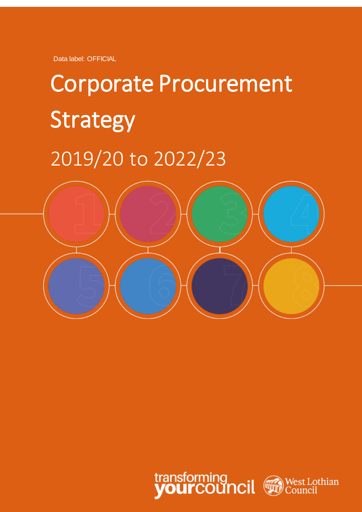Data label: OFFICIAL

# Corporate Procurement Strategy 2019/20 to 2022/23



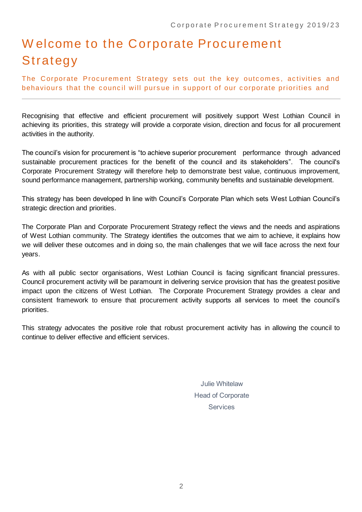## W elcome to the Corporate Procurement Strategy

The Corporate Procurement Strategy sets out the key outcomes, activities and behaviours that the council will pursue in support of our corporate priorities and

Recognising that effective and efficient procurement will positively support West Lothian Council in achieving its priorities, this strategy will provide a corporate vision, direction and focus for all procurement activities in the authority.

The council's vision for procurement is "to achieve superior procurement performance through advanced sustainable procurement practices for the benefit of the council and its stakeholders". The council's Corporate Procurement Strategy will therefore help to demonstrate best value, continuous improvement, sound performance management, partnership working, community benefits and sustainable development.

This strategy has been developed In line with Council's Corporate Plan which sets West Lothian Council's strategic direction and priorities.

The Corporate Plan and Corporate Procurement Strategy reflect the views and the needs and aspirations of West Lothian community. The Strategy identifies the outcomes that we aim to achieve, it explains how we will deliver these outcomes and in doing so, the main challenges that we will face across the next four years.

As with all public sector organisations, West Lothian Council is facing significant financial pressures. Council procurement activity will be paramount in delivering service provision that has the greatest positive impact upon the citizens of West Lothian. The Corporate Procurement Strategy provides a clear and consistent framework to ensure that procurement activity supports all services to meet the council's priorities.

This strategy advocates the positive role that robust procurement activity has in allowing the council to continue to deliver effective and efficient services.

> Julie Whitelaw Head of Corporate **Services**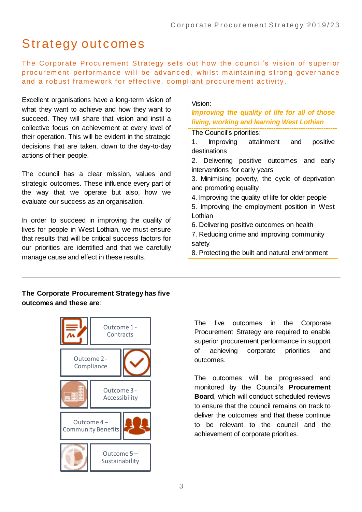### Strategy outcomes

The Corporate Procurement Strategy sets out how the council's vision of superior procurement performance will be advanced, whilst maintaining strong governance and a robust framework for effective, compliant procurement activity.

Excellent organisations have a long-term vision of what they want to achieve and how they want to succeed. They will share that vision and instil a collective focus on achievement at every level of their operation. This will be evident in the strategic decisions that are taken, down to the day-to-day actions of their people.

The council has a clear mission, values and strategic outcomes. These influence every part of the way that we operate but also, how we evaluate our success as an organisation.

In order to succeed in improving the quality of lives for people in West Lothian, we must ensure that results that will be critical success factors for our priorities are identified and that we carefully manage cause and effect in these results.

#### Vision:

*Improving the quality of life for all of those living, working and learning West Lothian*

- The Council's priorities:
- 1. Improving attainment and positive destinations
- 2. Delivering positive outcomes and early interventions for early years
- 3. Minimising poverty, the cycle of deprivation and promoting equality
- 4. Improving the quality of life for older people
- 5. Improving the employment position in West Lothian
- 6. Delivering positive outcomes on health
- 7. Reducing crime and improving community safety
- 8. Protecting the built and natural environment

#### **The Corporate Procurement Strategy has five outcomes and these are**:



The five outcomes in the Corporate Procurement Strategy are required to enable superior procurement performance in support of achieving corporate priorities and outcomes.

The outcomes will be progressed and monitored by the Council's **Procurement Board**, which will conduct scheduled reviews to ensure that the council remains on track to deliver the outcomes and that these continue to be relevant to the council and the achievement of corporate priorities.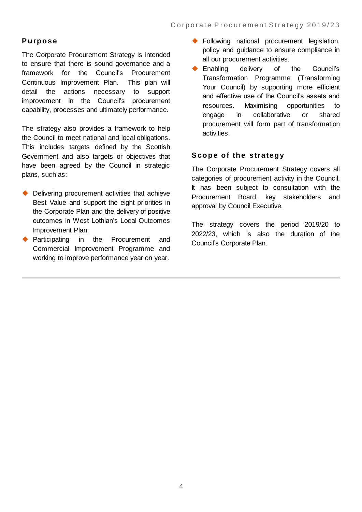#### **P urpose**

The Corporate Procurement Strategy is intended to ensure that there is sound governance and a framework for the Council's Procurement Continuous Improvement Plan. This plan will detail the actions necessary to support improvement in the Council's procurement capability, processes and ultimately performance.

The strategy also provides a framework to help the Council to meet national and local obligations. This includes targets defined by the Scottish Government and also targets or objectives that have been agreed by the Council in strategic plans, such as:

- Delivering procurement activities that achieve Best Value and support the eight priorities in the Corporate Plan and the delivery of positive outcomes in West Lothian's Local Outcomes Improvement Plan.
- Participating in the Procurement and Commercial Improvement Programme and working to improve performance year on year.
- ◆ Following national procurement legislation, policy and guidance to ensure compliance in all our procurement activities.
- ◆ Enabling delivery of the Council's Transformation Programme (Transforming Your Council) by supporting more efficient and effective use of the Council's assets and resources. Maximising opportunities to engage in collaborative or shared procurement will form part of transformation activities.

#### **S cope of the strategy**

The Corporate Procurement Strategy covers all categories of procurement activity in the Council. It has been subject to consultation with the Procurement Board, key stakeholders and approval by Council Executive.

The strategy covers the period 2019/20 to 2022/23, which is also the duration of the Council's Corporate Plan.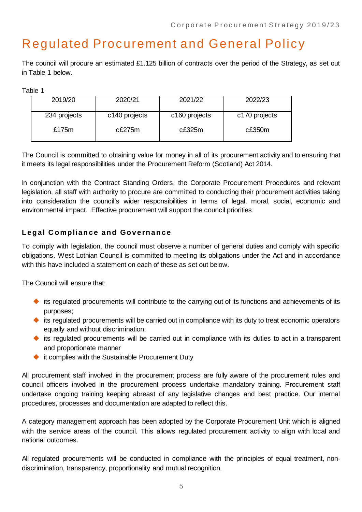### Regulated Procurement and General Policy

The council will procure an estimated £1.125 billion of contracts over the period of the Strategy, as set out in Table 1 below.

Table 1

| 2019/20      | 2020/21       | 2021/22       | 2022/23       |
|--------------|---------------|---------------|---------------|
| 234 projects | c140 projects | c160 projects | c170 projects |
| £175m        | c£275m        | c£325m        | c£350m        |

The Council is committed to obtaining value for money in all of its procurement activity and to ensuring that it meets its legal responsibilities under the Procurement Reform (Scotland) Act 2014.

In conjunction with the Contract Standing Orders, the Corporate Procurement Procedures and relevant legislation, all staff with authority to procure are committed to conducting their procurement activities taking into consideration the council's wider responsibilities in terms of legal, moral, social, economic and environmental impact. Effective procurement will support the council priorities.

#### **Legal C ompliance and Governance**

To comply with legislation, the council must observe a number of general duties and comply with specific obligations. West Lothian Council is committed to meeting its obligations under the Act and in accordance with this have included a statement on each of these as set out below.

The Council will ensure that:

- $\blacklozenge$  its regulated procurements will contribute to the carrying out of its functions and achievements of its purposes;
- $\blacklozenge$  its regulated procurements will be carried out in compliance with its duty to treat economic operators equally and without discrimination;
- its regulated procurements will be carried out in compliance with its duties to act in a transparent and proportionate manner
- ◆ it complies with the Sustainable Procurement Duty

All procurement staff involved in the procurement process are fully aware of the procurement rules and council officers involved in the procurement process undertake mandatory training. Procurement staff undertake ongoing training keeping abreast of any legislative changes and best practice. Our internal procedures, processes and documentation are adapted to reflect this.

A category management approach has been adopted by the Corporate Procurement Unit which is aligned with the service areas of the council. This allows regulated procurement activity to align with local and national outcomes.

All regulated procurements will be conducted in compliance with the principles of equal treatment, nondiscrimination, transparency, proportionality and mutual recognition.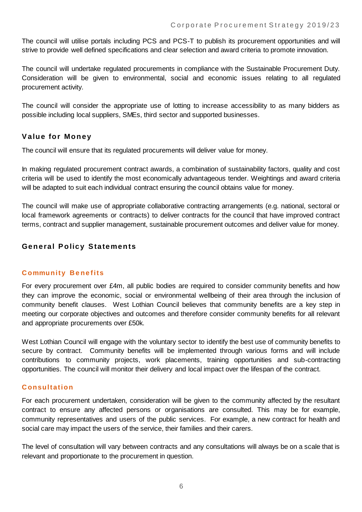The council will utilise portals including PCS and PCS-T to publish its procurement opportunities and will strive to provide well defined specifications and clear selection and award criteria to promote innovation.

The council will undertake regulated procurements in compliance with the Sustainable Procurement Duty. Consideration will be given to environmental, social and economic issues relating to all regulated procurement activity.

The council will consider the appropriate use of lotting to increase accessibility to as many bidders as possible including local suppliers, SMEs, third sector and supported businesses.

#### **V alue for Money**

The council will ensure that its regulated procurements will deliver value for money.

In making regulated procurement contract awards, a combination of sustainability factors, quality and cost criteria will be used to identify the most economically advantageous tender. Weightings and award criteria will be adapted to suit each individual contract ensuring the council obtains value for money.

The council will make use of appropriate collaborative contracting arrangements (e.g. national, sectoral or local framework agreements or contracts) to deliver contracts for the council that have improved contract terms, contract and supplier management, sustainable procurement outcomes and deliver value for money.

#### **General Policy Statements**

#### **C ommunity B e ne fits**

For every procurement over £4m, all public bodies are required to consider community benefits and how they can improve the economic, social or environmental wellbeing of their area through the inclusion of community benefit clauses. West Lothian Council believes that community benefits are a key step in meeting our corporate objectives and outcomes and therefore consider community benefits for all relevant and appropriate procurements over £50k.

West Lothian Council will engage with the voluntary sector to identify the best use of community benefits to secure by contract. Community benefits will be implemented through various forms and will include contributions to community projects, work placements, training opportunities and sub-contracting opportunities. The council will monitor their delivery and local impact over the lifespan of the contract.

#### **C onsultation**

For each procurement undertaken, consideration will be given to the community affected by the resultant contract to ensure any affected persons or organisations are consulted. This may be for example, community representatives and users of the public services. For example, a new contract for health and social care may impact the users of the service, their families and their carers.

The level of consultation will vary between contracts and any consultations will always be on a scale that is relevant and proportionate to the procurement in question.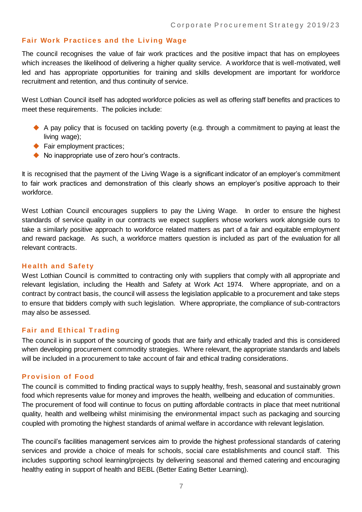#### **Fair Work Practices and the Living Wage**

The council recognises the value of fair work practices and the positive impact that has on employees which increases the likelihood of delivering a higher quality service. A workforce that is well-motivated, well led and has appropriate opportunities for training and skills development are important for workforce recruitment and retention, and thus continuity of service.

West Lothian Council itself has adopted workforce policies as well as offering staff benefits and practices to meet these requirements. The policies include:

- A pay policy that is focused on tackling poverty (e.g. through a commitment to paying at least the living wage);
- ◆ Fair employment practices;
- ◆ No inappropriate use of zero hour's contracts.

It is recognised that the payment of the Living Wage is a significant indicator of an employer's commitment to fair work practices and demonstration of this clearly shows an employer's positive approach to their workforce.

West Lothian Council encourages suppliers to pay the Living Wage. In order to ensure the highest standards of service quality in our contracts we expect suppliers whose workers work alongside ours to take a similarly positive approach to workforce related matters as part of a fair and equitable employment and reward package. As such, a workforce matters question is included as part of the evaluation for all relevant contracts.

#### **H e alth and Safe ty**

West Lothian Council is committed to contracting only with suppliers that comply with all appropriate and relevant legislation, including the Health and Safety at Work Act 1974. Where appropriate, and on a contract by contract basis, the council will assess the legislation applicable to a procurement and take steps to ensure that bidders comply with such legislation. Where appropriate, the compliance of sub-contractors may also be assessed.

#### **Fair and Ethical Trading**

The council is in support of the sourcing of goods that are fairly and ethically traded and this is considered when developing procurement commodity strategies. Where relevant, the appropriate standards and labels will be included in a procurement to take account of fair and ethical trading considerations.

#### **Pr ov ision of Food**

The council is committed to finding practical ways to supply healthy, fresh, seasonal and sustainably grown food which represents value for money and improves the health, wellbeing and education of communities. The procurement of food will continue to focus on putting affordable contracts in place that meet nutritional quality, health and wellbeing whilst minimising the environmental impact such as packaging and sourcing coupled with promoting the highest standards of animal welfare in accordance with relevant legislation.

The council's facilities management services aim to provide the highest professional standards of catering services and provide a choice of meals for schools, social care establishments and council staff. This includes supporting school learning/projects by delivering seasonal and themed catering and encouraging healthy eating in support of health and BEBL (Better Eating Better Learning).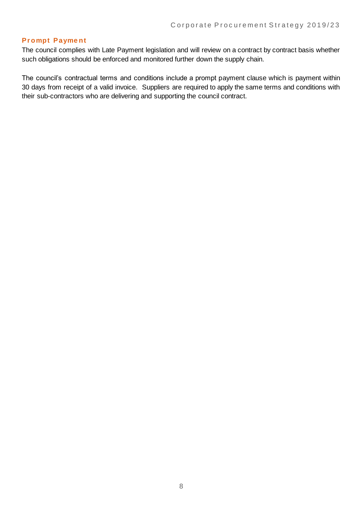#### **Pr ompt Payme nt**

The council complies with Late Payment legislation and will review on a contract by contract basis whether such obligations should be enforced and monitored further down the supply chain.

The council's contractual terms and conditions include a prompt payment clause which is payment within 30 days from receipt of a valid invoice. Suppliers are required to apply the same terms and conditions with their sub-contractors who are delivering and supporting the council contract.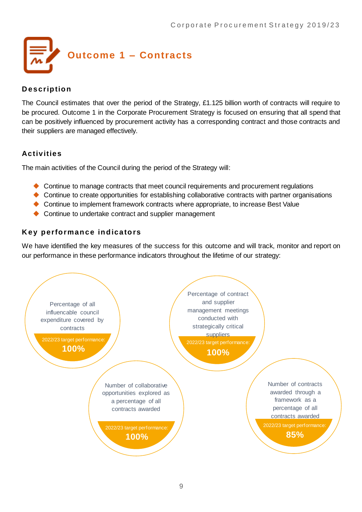

#### **D escription**

The Council estimates that over the period of the Strategy, £1.125 billion worth of contracts will require to be procured. Outcome 1 in the Corporate Procurement Strategy is focused on ensuring that all spend that can be positively influenced by procurement activity has a corresponding contract and those contracts and their suppliers are managed effectively.

#### **Activities**

The main activities of the Council during the period of the Strategy will:

- Continue to manage contracts that meet council requirements and procurement regulations
- Continue to create opportunities for establishing collaborative contracts with partner organisations
- Continue to implement framework contracts where appropriate, to increase Best Value
- ◆ Continue to undertake contract and supplier management

#### **K ey performance indicators**

We have identified the key measures of the success for this outcome and will track, monitor and report on our performance in these performance indicators throughout the lifetime of our strategy:

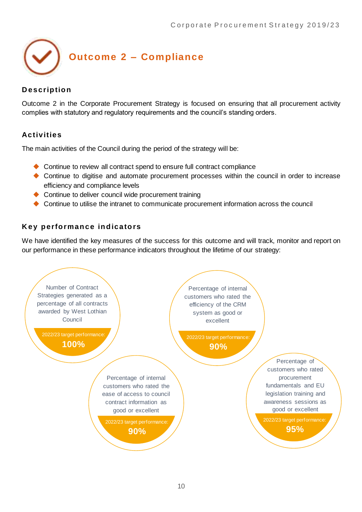

#### **D escription**

Outcome 2 in the Corporate Procurement Strategy is focused on ensuring that all procurement activity complies with statutory and regulatory requirements and the council's standing orders.

#### **Activities**

The main activities of the Council during the period of the strategy will be:

- ◆ Continue to review all contract spend to ensure full contract compliance
- Continue to digitise and automate procurement processes within the council in order to increase efficiency and compliance levels
- ◆ Continue to deliver council wide procurement training
- Continue to utilise the intranet to communicate procurement information across the council

#### **K ey performance indicators**

We have identified the key measures of the success for this outcome and will track, monitor and report on our performance in these performance indicators throughout the lifetime of our strategy:

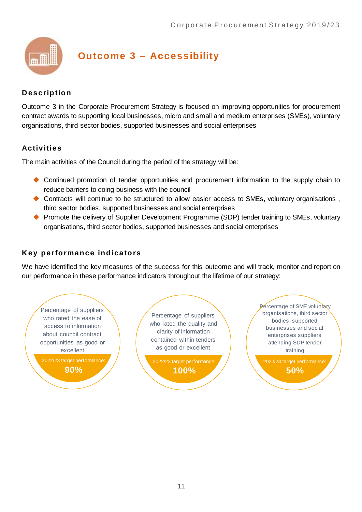

### **Outcome 3 – Accessibility**

#### **D escription**

Outcome 3 in the Corporate Procurement Strategy is focused on improving opportunities for procurement contract awards to supporting local businesses, micro and small and medium enterprises (SMEs), voluntary organisations, third sector bodies, supported businesses and social enterprises

#### **Activities**

The main activities of the Council during the period of the strategy will be:

- Continued promotion of tender opportunities and procurement information to the supply chain to reduce barriers to doing business with the council
- Contracts will continue to be structured to allow easier access to SMEs, voluntary organisations , third sector bodies, supported businesses and social enterprises
- ◆ Promote the delivery of Supplier Development Programme (SDP) tender training to SMEs, voluntary organisations, third sector bodies, supported businesses and social enterprises

#### **K ey performance indicators**

We have identified the key measures of the success for this outcome and will track, monitor and report on our performance in these performance indicators throughout the lifetime of our strategy:

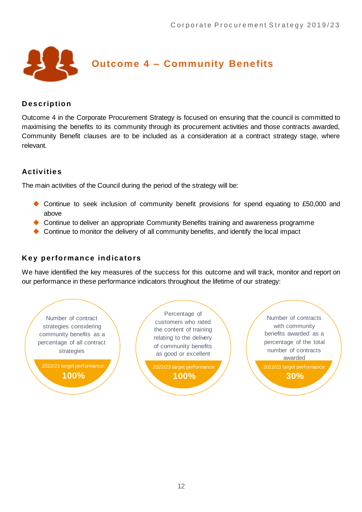

#### **D escription**

Outcome 4 in the Corporate Procurement Strategy is focused on ensuring that the council is committed to maximising the benefits to its community through its procurement activities and those contracts awarded, Community Benefit clauses are to be included as a consideration at a contract strategy stage, where relevant.

#### **Activities**

The main activities of the Council during the period of the strategy will be:

- ◆ Continue to seek inclusion of community benefit provisions for spend equating to £50,000 and above
- ◆ Continue to deliver an appropriate Community Benefits training and awareness programme
- Continue to monitor the delivery of all community benefits, and identify the local impact

#### **K ey performance indicators**

We have identified the key measures of the success for this outcome and will track, monitor and report on our performance in these performance indicators throughout the lifetime of our strategy:

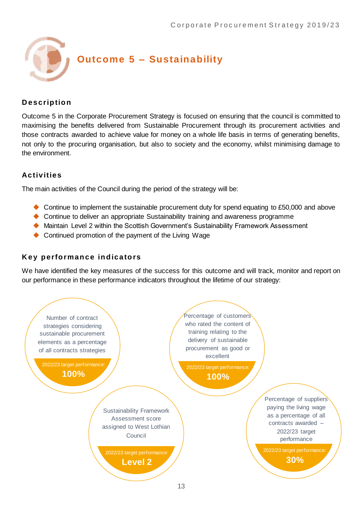

#### **D escription**

Outcome 5 in the Corporate Procurement Strategy is focused on ensuring that the council is committed to maximising the benefits delivered from Sustainable Procurement through its procurement activities and those contracts awarded to achieve value for money on a whole life basis in terms of generating benefits, not only to the procuring organisation, but also to society and the economy, whilst minimising damage to the environment.

#### **Activities**

The main activities of the Council during the period of the strategy will be:

- ◆ Continue to implement the sustainable procurement duty for spend equating to £50,000 and above
- Continue to deliver an appropriate Sustainability training and awareness programme
- Maintain Level 2 within the Scottish Government's Sustainability Framework Assessment
- ◆ Continued promotion of the payment of the Living Wage

#### **K ey performance indicators**

We have identified the key measures of the success for this outcome and will track, monitor and report on our performance in these performance indicators throughout the lifetime of our strategy:

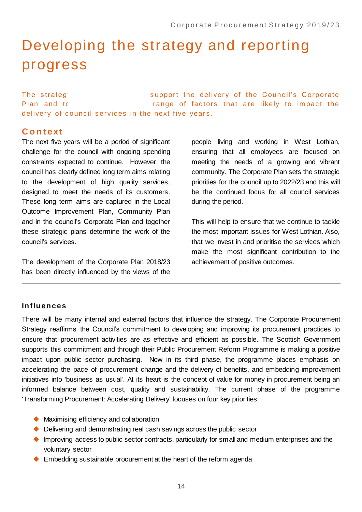# Developing the strategy and reporting progress

The strategy and the strategy as as apport the delivery of the Council's Corporate Plan and to take according that are likely to impact the range of factors that are likely to impact the delivery of council services in the next five years.

#### **C o n t ext**

The next five years will be a period of significant challenge for the council with ongoing spending constraints expected to continue. However, the council has clearly defined long term aims relating to the development of high quality services, designed to meet the needs of its customers. These long term aims are captured in the Local Outcome Improvement Plan, Community Plan and in the council's Corporate Plan and together these strategic plans determine the work of the council's services.

The development of the Corporate Plan 2018/23 has been directly influenced by the views of the

people living and working in West Lothian, ensuring that all employees are focused on meeting the needs of a growing and vibrant community. The Corporate Plan sets the strategic priorities for the council up to 2022/23 and this will be the continued focus for all council services during the period.

This will help to ensure that we continue to tackle the most important issues for West Lothian. Also, that we invest in and prioritise the services which make the most significant contribution to the achievement of positive outcomes.

#### **Influences**

There will be many internal and external factors that influence the strategy. The Corporate Procurement Strategy reaffirms the Council's commitment to developing and improving its procurement practices to ensure that procurement activities are as effective and efficient as possible. The Scottish Government supports this commitment and through their Public Procurement Reform Programme is making a positive impact upon public sector purchasing. Now in its third phase, the programme places emphasis on accelerating the pace of procurement change and the delivery of benefits, and embedding improvement initiatives into 'business as usual'. At its heart is the concept of value for money in procurement being an informed balance between cost, quality and sustainability. The current phase of the programme 'Transforming Procurement: Accelerating Delivery' focuses on four key priorities:

- ◆ Maximising efficiency and collaboration
- ◆ Delivering and demonstrating real cash savings across the public sector
- Improving access to public sector contracts, particularly for small and medium enterprises and the voluntary sector
- ◆ Embedding sustainable procurement at the heart of the reform agenda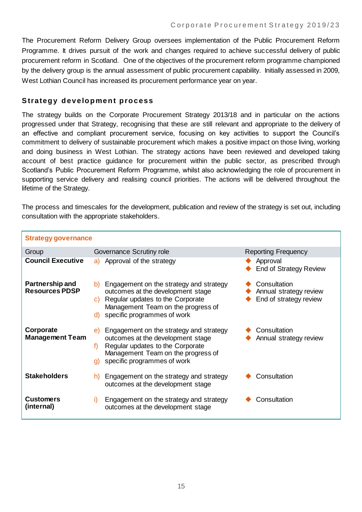The Procurement Reform Delivery Group oversees implementation of the Public Procurement Reform Programme. It drives pursuit of the work and changes required to achieve successful delivery of public procurement reform in Scotland. One of the objectives of the procurement reform programme championed by the delivery group is the annual assessment of public procurement capability. Initially assessed in 2009, West Lothian Council has increased its procurement performance year on year.

#### **S trategy development process**

The strategy builds on the Corporate Procurement Strategy 2013/18 and in particular on the actions progressed under that Strategy, recognising that these are still relevant and appropriate to the delivery of an effective and compliant procurement service, focusing on key activities to support the Council's commitment to delivery of sustainable procurement which makes a positive impact on those living, working and doing business in West Lothian. The strategy actions have been reviewed and developed taking account of best practice guidance for procurement within the public sector, as prescribed through Scotland's Public Procurement Reform Programme, whilst also acknowledging the role of procurement in supporting service delivery and realising council priorities. The actions will be delivered throughout the lifetime of the Strategy.

The process and timescales for the development, publication and review of the strategy is set out, including consultation with the appropriate stakeholders.

| <b>Strategy governance</b>               |                                                                                                                                                                                                         |                                                                  |
|------------------------------------------|---------------------------------------------------------------------------------------------------------------------------------------------------------------------------------------------------------|------------------------------------------------------------------|
| Group                                    | Governance Scrutiny role                                                                                                                                                                                | <b>Reporting Frequency</b>                                       |
| <b>Council Executive</b>                 | Approval of the strategy<br>a)                                                                                                                                                                          | Approval<br><b>End of Strategy Review</b>                        |
| Partnership and<br><b>Resources PDSP</b> | Engagement on the strategy and strategy<br>b)<br>outcomes at the development stage<br>Regular updates to the Corporate<br>C)<br>Management Team on the progress of<br>d) specific programmes of work    | Consultation<br>Annual strategy review<br>End of strategy review |
| Corporate<br><b>Management Team</b>      | Engagement on the strategy and strategy<br>e)<br>outcomes at the development stage<br>Regular updates to the Corporate<br>f)<br>Management Team on the progress of<br>specific programmes of work<br>g) | Consultation<br>Annual strategy review                           |
| <b>Stakeholders</b>                      | Engagement on the strategy and strategy<br>h)<br>outcomes at the development stage                                                                                                                      | Consultation                                                     |
| <b>Customers</b><br>(internal)           | Engagement on the strategy and strategy<br>i)<br>outcomes at the development stage                                                                                                                      | Consultation                                                     |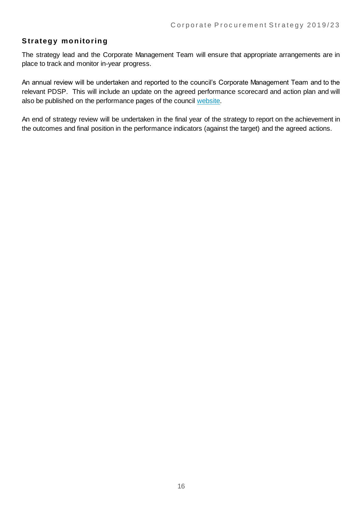#### **S trategy monitoring**

The strategy lead and the Corporate Management Team will ensure that appropriate arrangements are in place to track and monitor in-year progress.

An annual review will be undertaken and reported to the council's Corporate Management Team and to the relevant PDSP. This will include an update on the agreed performance scorecard and action plan and will also be published on the performance pages of the council [website.](https://www.westlothian.gov.uk/performance)

An end of strategy review will be undertaken in the final year of the strategy to report on the achievement in the outcomes and final position in the performance indicators (against the target) and the agreed actions.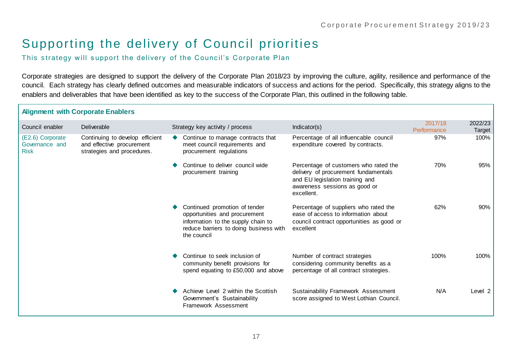### Supporting the delivery of Council priorities

This strategy will support the delivery of the Council's Corporate Plan

Corporate strategies are designed to support the delivery of the Corporate Plan 2018/23 by improving the culture, agility, resilience and performance of the council. Each strategy has clearly defined outcomes and measurable indicators of success and actions for the period. Specifically, this strategy aligns to the enablers and deliverables that have been identified as key to the success of the Corporate Plan, this outlined in the following table.

|                                                   | <b>Alignment with Corporate Enablers</b>                                                   |                                                                                                                                                               |                                                                                                                                                                 |                        |                   |
|---------------------------------------------------|--------------------------------------------------------------------------------------------|---------------------------------------------------------------------------------------------------------------------------------------------------------------|-----------------------------------------------------------------------------------------------------------------------------------------------------------------|------------------------|-------------------|
| Council enabler                                   | Deliverable                                                                                | Strategy key activity / process                                                                                                                               | Indicator(s)                                                                                                                                                    | 2017/18<br>Performance | 2022/23<br>Target |
| (E2.6) Corporate<br>Governance and<br><b>Risk</b> | Continuing to develop efficient<br>and effective procurement<br>strategies and procedures. | Continue to manage contracts that<br>meet council requirements and<br>procurement regulations                                                                 | Percentage of all influencable council<br>expenditure covered by contracts.                                                                                     | 97%                    | 100%              |
|                                                   |                                                                                            | Continue to deliver council wide<br>procurement training                                                                                                      | Percentage of customers who rated the<br>delivery of procurement fundamentals<br>and EU legislation training and<br>awareness sessions as good or<br>excellent. | 70%                    | 95%               |
|                                                   |                                                                                            | Continued promotion of tender<br>opportunities and procurement<br>information to the supply chain to<br>reduce barriers to doing business with<br>the council | Percentage of suppliers who rated the<br>ease of access to information about<br>council contract opportunities as good or<br>excellent                          | 62%                    | 90%               |
|                                                   |                                                                                            | Continue to seek inclusion of<br>community benefit provisions for<br>spend equating to £50,000 and above                                                      | Number of contract strategies<br>considering community benefits as a<br>percentage of all contract strategies.                                                  | 100%                   | 100%              |
|                                                   |                                                                                            | Achieve Level 2 within the Scottish<br>Government's Sustainability<br><b>Framework Assessment</b>                                                             | Sustainability Framework Assessment<br>score assigned to West Lothian Council.                                                                                  | N/A                    | Level 2           |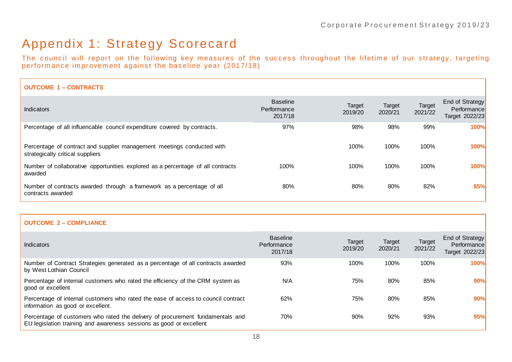### Appendix 1: Strategy Scorecard

The council will report on the following key measures of the success throughout the lifetime of our strategy, targeting performance improvement against the baseline year (2017/18)

| <b>OUTCOME 1 - CONTRACTS</b>                                                                               |                                           |                   |                          |                   |                                                  |
|------------------------------------------------------------------------------------------------------------|-------------------------------------------|-------------------|--------------------------|-------------------|--------------------------------------------------|
| <b>Indicators</b>                                                                                          | <b>Baseline</b><br>Performance<br>2017/18 | Target<br>2019/20 | <b>Target</b><br>2020/21 | Target<br>2021/22 | End of Strategy<br>Performance<br>Target 2022/23 |
| Percentage of all influencable council expenditure covered by contracts.                                   | 97%                                       | 98%               | 98%                      | 99%               | 100%                                             |
| Percentage of contract and supplier management meetings conducted with<br>strategically critical suppliers |                                           | 100%              | 100%                     | 100%              | 100%                                             |
| Number of collaborative opportunities explored as a percentage of all contracts<br>awarded                 | 100%                                      | 100%              | 100%                     | 100%              | 100%                                             |
| Number of contracts awarded through a framework as a percentage of all<br>contracts awarded                | 80%                                       | 80%               | 80%                      | 82%               | 85%                                              |

#### **OUTCOME 2 – COMPLIANCE**

| Indicators                                                                                                                                            | <b>Baseline</b><br>Performance<br>2017/18 | Target<br>2019/20 | Target<br>2020/21 | Target<br>2021/22 | End of Strategy<br>Performance<br>Target 2022/23 |
|-------------------------------------------------------------------------------------------------------------------------------------------------------|-------------------------------------------|-------------------|-------------------|-------------------|--------------------------------------------------|
| Number of Contract Strategies generated as a percentage of all contracts awarded<br>by West Lothian Council                                           | 93%                                       | 100%              | 100%              | 100%              | 100%                                             |
| Percentage of internal customers who rated the efficiency of the CRM system as<br>good or excellent                                                   | N/A                                       | 75%               | 80%               | 85%               | 90%                                              |
| Percentage of internal customers who rated the ease of access to council contract<br>information as good or excellent.                                | 62%                                       | 75%               | 80%               | 85%               | 90%                                              |
| Percentage of customers who rated the delivery of procurement fundamentals and<br>EU legislation training and awareness sessions as good or excellent | 70%                                       | 90%               | 92%               | 93%               | 95%                                              |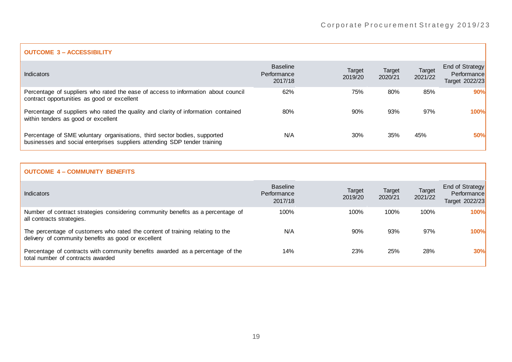| <b>Indicators</b>                                                                                                                                      | <b>Baseline</b><br>Performance<br>2017/18 | Target<br>2019/20 | Target<br>2020/21 | <b>Target</b><br>2021/22 | <b>End of Strategy</b><br>Performance<br>Target 2022/23 |
|--------------------------------------------------------------------------------------------------------------------------------------------------------|-------------------------------------------|-------------------|-------------------|--------------------------|---------------------------------------------------------|
| Percentage of suppliers who rated the ease of access to information about council<br>contract opportunities as good or excellent                       | 62%                                       | 75%               | 80%               | 85%                      | 90%                                                     |
| Percentage of suppliers who rated the quality and clarity of information contained<br>within tenders as good or excellent                              | 80%                                       | 90%               | 93%               | 97%                      | <b>100%</b>                                             |
| Percentage of SME voluntary organisations, third sector bodies, supported<br>businesses and social enterprises suppliers attending SDP tender training | N/A                                       | 30%               | 35%               | 45%                      | 50%                                                     |

#### **OUTCOME 4 – COMMUNITY BENEFITS**

| <b>Indicators</b>                                                                                                                    | <b>Baseline</b><br>Performance<br>2017/18 | Target<br>2019/20 | Target<br>2020/21 | <b>Target</b><br>2021/22 | End of Strategy<br>Performance<br>Target 2022/23 |
|--------------------------------------------------------------------------------------------------------------------------------------|-------------------------------------------|-------------------|-------------------|--------------------------|--------------------------------------------------|
| Number of contract strategies considering community benefits as a percentage of<br>all contracts strategies.                         | 100%                                      | 100%              | 100%              | 100%                     | 100%                                             |
| The percentage of customers who rated the content of training relating to the<br>delivery of community benefits as good or excellent | N/A                                       | 90%               | 93%               | 97%                      | 100%                                             |
| Percentage of contracts with community benefits awarded as a percentage of the<br>total number of contracts awarded                  | 14%                                       | 23%               | 25%               | 28%                      | 30%                                              |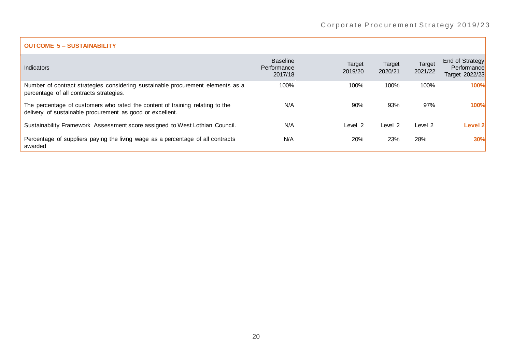#### **OUTCOME 5 – SUSTAINABILITY**

| <b>Indicators</b>                                                                                                                          | <b>Baseline</b><br>Performance<br>2017/18 | Target<br>2019/20 | Target<br>2020/21 | Target<br>2021/22 | End of Strategy<br>Performance<br>Target 2022/23 |
|--------------------------------------------------------------------------------------------------------------------------------------------|-------------------------------------------|-------------------|-------------------|-------------------|--------------------------------------------------|
| Number of contract strategies considering sustainable procurement elements as a<br>percentage of all contracts strategies.                 | 100%                                      | 100%              | 100%              | 100%              | 100%                                             |
| The percentage of customers who rated the content of training relating to the<br>delivery of sustainable procurement as good or excellent. | N/A                                       | 90%               | 93%               | 97%               | 100%                                             |
| Sustainability Framework Assessment score assigned to West Lothian Council.                                                                | N/A                                       | Level 2           | Level 2           | Level 2           | Level 2l                                         |
| Percentage of suppliers paying the living wage as a percentage of all contracts<br>awarded                                                 | N/A                                       | 20%               | 23%               | 28%               | <b>30%</b>                                       |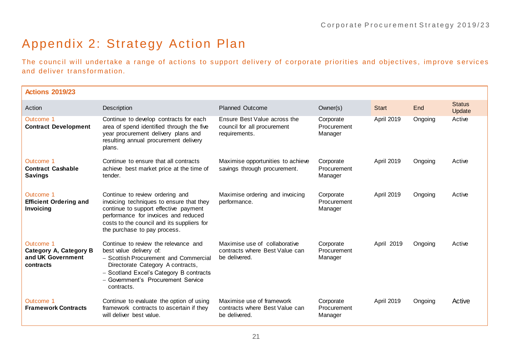### Appendix 2: Strategy Action Plan

The council will undertake a range of actions to support delivery of corporate priorities and objectives, improve services and deliver trans form ation.

| <b>Actions 2019/23</b>                                                |                                                                                                                                                                                                                                              |                                                                                  |                                     |                   |         |                         |
|-----------------------------------------------------------------------|----------------------------------------------------------------------------------------------------------------------------------------------------------------------------------------------------------------------------------------------|----------------------------------------------------------------------------------|-------------------------------------|-------------------|---------|-------------------------|
| Action                                                                | Description                                                                                                                                                                                                                                  | <b>Planned Outcome</b>                                                           | Owner(s)                            | <b>Start</b>      | End     | <b>Status</b><br>Update |
| Outcome 1<br><b>Contract Development</b>                              | Continue to develop contracts for each<br>area of spend identified through the five<br>year procurement delivery plans and<br>resulting annual procurement delivery<br>plans.                                                                | Ensure Best Value across the<br>council for all procurement<br>requirements.     | Corporate<br>Procurement<br>Manager | <b>April 2019</b> | Ongoing | Active                  |
| Outcome 1<br><b>Contract Cashable</b><br><b>Savings</b>               | Continue to ensure that all contracts<br>achieve best market price at the time of<br>tender.                                                                                                                                                 | Maximise opportunities to achieve<br>savings through procurement.                | Corporate<br>Procurement<br>Manager | April 2019        | Ongoing | Active                  |
| Outcome 1<br><b>Efficient Ordering and</b><br>Invoicing               | Continue to review ordering and<br>invoicing techniques to ensure that they<br>continue to support effective payment<br>performance for invoices and reduced<br>costs to the council and its suppliers for<br>the purchase to pay process.   | Maximise ordering and invoicing<br>performance.                                  | Corporate<br>Procurement<br>Manager | April 2019        | Ongoing | Active                  |
| Outcome 1<br>Category A, Category B<br>and UK Government<br>contracts | Continue to review the relevance and<br>best value delivery of:<br>- Scottish Procurement and Commercial<br>Directorate Category A contracts,<br>- Scotland Excel's Category B contracts<br>- Government's Procurement Service<br>contracts. | Maximise use of collaborative<br>contracts where Best Value can<br>be delivered. | Corporate<br>Procurement<br>Manager | April 2019        | Ongoing | Active                  |
| Outcome 1<br><b>Framework Contracts</b>                               | Continue to evaluate the option of using<br>framework contracts to ascertain if they<br>will deliver best value.                                                                                                                             | Maximise use of framework<br>contracts where Best Value can<br>be delivered.     | Corporate<br>Procurement<br>Manager | April 2019        | Ongoing | Active                  |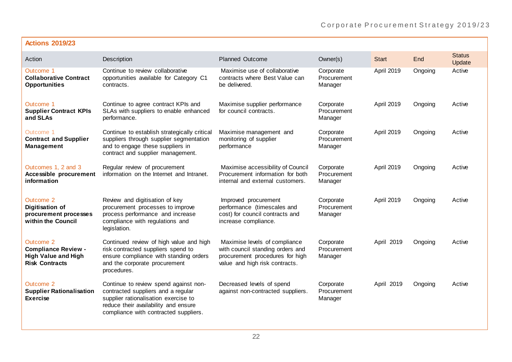| <b>Actions 2019/23</b>                                                                         |                                                                                                                                                                                                      |                                                                                                                                        |                                     |              |         |                         |
|------------------------------------------------------------------------------------------------|------------------------------------------------------------------------------------------------------------------------------------------------------------------------------------------------------|----------------------------------------------------------------------------------------------------------------------------------------|-------------------------------------|--------------|---------|-------------------------|
| Action                                                                                         | Description                                                                                                                                                                                          | <b>Planned Outcome</b>                                                                                                                 | Owner(s)                            | <b>Start</b> | End     | <b>Status</b><br>Update |
| Outcome 1<br><b>Collaborative Contract</b><br><b>Opportunities</b>                             | Continue to review collaborative<br>opportunities available for Category C1<br>contracts.                                                                                                            | Maximise use of collaborative<br>contracts where Best Value can<br>be delivered.                                                       | Corporate<br>Procurement<br>Manager | April 2019   | Ongoing | Active                  |
| Outcome 1<br><b>Supplier Contract KPIs</b><br>and SLAs                                         | Continue to agree contract KPIs and<br>SLAs with suppliers to enable enhanced<br>performance.                                                                                                        | Maximise supplier performance<br>for council contracts.                                                                                | Corporate<br>Procurement<br>Manager | April 2019   | Ongoing | Active                  |
| Outcome 1<br><b>Contract and Supplier</b><br><b>Management</b>                                 | Continue to establish strategically critical<br>suppliers through supplier segmentation<br>and to engage these suppliers in<br>contract and supplier management.                                     | Maximise management and<br>monitoring of supplier<br>performance                                                                       | Corporate<br>Procurement<br>Manager | April 2019   | Ongoing | Active                  |
| Outcomes 1, 2 and 3<br>Accessible procurement<br>information                                   | Regular review of procurement<br>information on the Internet and Intranet.                                                                                                                           | Maximise accessibility of Council<br>Procurement information for both<br>internal and external customers.                              | Corporate<br>Procurement<br>Manager | April 2019   | Ongoing | Active                  |
| Outcome 2<br><b>Digitisation of</b><br>procurement processes<br>within the Council             | Review and digitisation of key<br>procurement processes to improve<br>process performance and increase<br>compliance with regulations and<br>legislation.                                            | Improved procurement<br>performance (timescales and<br>cost) for council contracts and<br>increase compliance.                         | Corporate<br>Procurement<br>Manager | April 2019   | Ongoing | Active                  |
| Outcome 2<br><b>Compliance Review -</b><br><b>High Value and High</b><br><b>Risk Contracts</b> | Continued review of high value and high<br>risk contracted suppliers spend to<br>ensure compliance with standing orders<br>and the corporate procurement<br>procedures.                              | Maximise levels of compliance<br>with council standing orders and<br>procurement procedures for high<br>value and high risk contracts. | Corporate<br>Procurement<br>Manager | April 2019   | Ongoing | Active                  |
| Outcome 2<br><b>Supplier Rationalisation</b><br><b>Exercise</b>                                | Continue to review spend against non-<br>contracted suppliers and a regular<br>supplier rationalisation exercise to<br>reduce their availability and ensure<br>compliance with contracted suppliers. | Decreased levels of spend<br>against non-contracted suppliers.                                                                         | Corporate<br>Procurement<br>Manager | April 2019   | Ongoing | Active                  |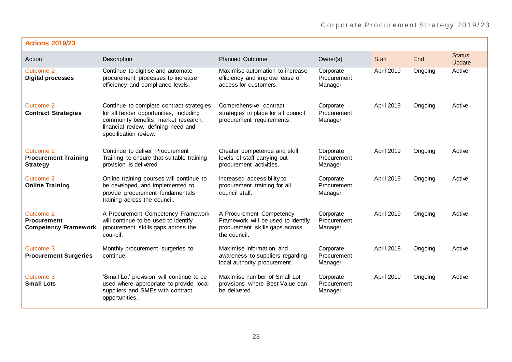| <b>Actions 2019/23</b>                                         |                                                                                                                                                                                             |                                                                                                                  |                                     |                   |         |                         |
|----------------------------------------------------------------|---------------------------------------------------------------------------------------------------------------------------------------------------------------------------------------------|------------------------------------------------------------------------------------------------------------------|-------------------------------------|-------------------|---------|-------------------------|
| Action                                                         | Description                                                                                                                                                                                 | <b>Planned Outcome</b>                                                                                           | Owner(s)                            | <b>Start</b>      | End     | <b>Status</b><br>Update |
| Outcome 2<br><b>Digital processes</b>                          | Continue to digitise and automate<br>procurement processes to increase<br>efficiency and compliance levels.                                                                                 | Maximise automation to increase<br>efficiency and improve ease of<br>access for customers.                       | Corporate<br>Procurement<br>Manager | April 2019        | Ongoing | Active                  |
| Outcome 2<br><b>Contract Strategies</b>                        | Continue to complete contract strategies<br>for all tender opportunities, including<br>community benefits, market research,<br>financial review, defining need and<br>specification review. | Comprehensive contract<br>strategies in place for all council<br>procurement requirements.                       | Corporate<br>Procurement<br>Manager | <b>April 2019</b> | Ongoing | Active                  |
| Outcome 2<br><b>Procurement Training</b><br><b>Strategy</b>    | Continue to deliver Procurement<br>Training to ensure that suitable training<br>provision is delivered.                                                                                     | Greater competence and skill<br>levels of staff carrying out<br>procurement activities.                          | Corporate<br>Procurement<br>Manager | April 2019        | Ongoing | Active                  |
| Outcome 2<br><b>Online Training</b>                            | Online training courses will continue to<br>be developed and implemented to<br>provide procurement fundamentals<br>training across the council.                                             | Increased accessibility to<br>procurement training for all<br>council staff.                                     | Corporate<br>Procurement<br>Manager | April 2019        | Ongoing | Active                  |
| Outcome 2<br><b>Procurement</b><br><b>Competency Framework</b> | A Procurement Competency Framework<br>will continue to be used to identify<br>procurement skills gaps across the<br>council.                                                                | A Procurement Competency<br>Framework will be used to identify<br>procurement skills gaps across<br>the council. | Corporate<br>Procurement<br>Manager | April 2019        | Ongoing | Active                  |
| Outcome 3<br><b>Procurement Surgeries</b>                      | Monthly procurement surgeries to<br>continue.                                                                                                                                               | Maximise information and<br>awareness to suppliers regarding<br>local authority procurement.                     | Corporate<br>Procurement<br>Manager | April 2019        | Ongoing | Active                  |
| Outcome 3<br><b>Small Lots</b>                                 | 'Small Lot' provision will continue to be<br>used where appropriate to provide local<br>suppliers and SMEs with contract<br>opportunities.                                                  | Maximise number of Small Lot<br>provisions where Best Value can<br>be delivered.                                 | Corporate<br>Procurement<br>Manager | April 2019        | Ongoing | Active                  |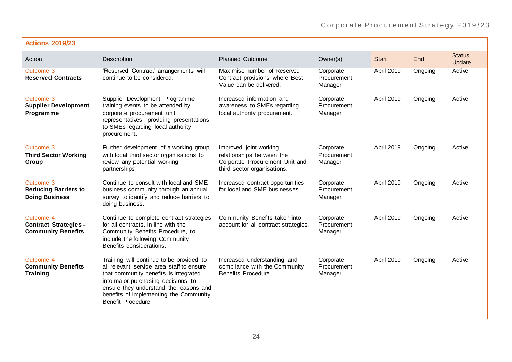| <b>Actions 2019/23</b>                                                 |                                                                                                                                                                                                                                                                                 |                                                                                                                      |                                     |              |         |                         |
|------------------------------------------------------------------------|---------------------------------------------------------------------------------------------------------------------------------------------------------------------------------------------------------------------------------------------------------------------------------|----------------------------------------------------------------------------------------------------------------------|-------------------------------------|--------------|---------|-------------------------|
| Action                                                                 | Description                                                                                                                                                                                                                                                                     | <b>Planned Outcome</b>                                                                                               | Owner(s)                            | <b>Start</b> | End     | <b>Status</b><br>Update |
| Outcome 3<br><b>Reserved Contracts</b>                                 | 'Reserved Contract' arrangements will<br>continue to be considered.                                                                                                                                                                                                             | Maximise number of Reserved<br>Contract provisions where Best<br>Value can be delivered.                             | Corporate<br>Procurement<br>Manager | April 2019   | Ongoing | Active                  |
| Outcome 3<br><b>Supplier Development</b><br>Programme                  | Supplier Development Programme<br>training events to be attended by<br>corporate procurement unit<br>representatives, providing presentations<br>to SMEs regarding local authority<br>procurement.                                                                              | Increased information and<br>awareness to SMEs regarding<br>local authority procurement.                             | Corporate<br>Procurement<br>Manager | April 2019   | Ongoing | Active                  |
| Outcome 3<br><b>Third Sector Working</b><br>Group                      | Further development of a working group<br>with local third sector organisations to<br>review any potential working<br>partnerships.                                                                                                                                             | Improved joint working<br>relationships between the<br>Corporate Procurement Unit and<br>third sector organisations. | Corporate<br>Procurement<br>Manager | April 2019   | Ongoing | Active                  |
| Outcome 3<br><b>Reducing Barriers to</b><br><b>Doing Business</b>      | Continue to consult with local and SME<br>business community through an annual<br>survey to identify and reduce barriers to<br>doing business.                                                                                                                                  | Increased contract opportunities<br>for local and SME businesses.                                                    | Corporate<br>Procurement<br>Manager | April 2019   | Ongoing | Active                  |
| Outcome 4<br><b>Contract Strategies -</b><br><b>Community Benefits</b> | Continue to complete contract strategies<br>for all contracts, in line with the<br>Community Benefits Procedure, to<br>include the following Community<br>Benefits considerations.                                                                                              | Community Benefits taken into<br>account for all contract strategies.                                                | Corporate<br>Procurement<br>Manager | April 2019   | Ongoing | Active                  |
| Outcome 4<br><b>Community Benefits</b><br><b>Training</b>              | Training will continue to be provided to<br>all relevant service area staff to ensure<br>that community benefits is integrated<br>into major purchasing decisions, to<br>ensure they understand the reasons and<br>benefits of implementing the Community<br>Benefit Procedure. | Increased understanding and<br>compliance with the Community<br>Benefits Procedure.                                  | Corporate<br>Procurement<br>Manager | April 2019   | Ongoing | Active                  |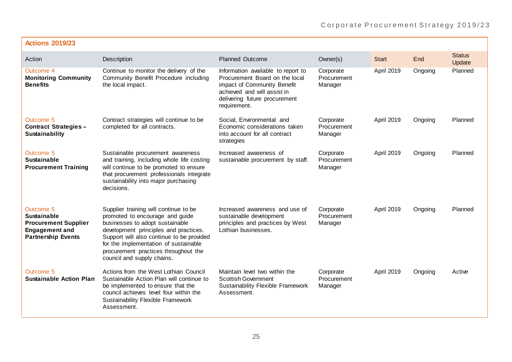| <b>Actions 2019/23</b>                                                                                               |                                                                                                                                                                                                                                                                                                                  |                                                                                                                                                                                     |                                     |                   |         |                         |
|----------------------------------------------------------------------------------------------------------------------|------------------------------------------------------------------------------------------------------------------------------------------------------------------------------------------------------------------------------------------------------------------------------------------------------------------|-------------------------------------------------------------------------------------------------------------------------------------------------------------------------------------|-------------------------------------|-------------------|---------|-------------------------|
| Action                                                                                                               | Description                                                                                                                                                                                                                                                                                                      | <b>Planned Outcome</b>                                                                                                                                                              | Owner(s)                            | <b>Start</b>      | End     | <b>Status</b><br>Update |
| Outcome 4<br><b>Monitoring Community</b><br><b>Benefits</b>                                                          | Continue to monitor the delivery of the<br>Community Benefit Procedure including<br>the local impact.                                                                                                                                                                                                            | Information available to report to<br>Procurement Board on the local<br>impact of Community Benefit<br>achieved and will assist in<br>delivering future procurement<br>requirement. | Corporate<br>Procurement<br>Manager | <b>April 2019</b> | Ongoing | Planned                 |
| Outcome <sub>5</sub><br><b>Contract Strategies-</b><br>Sustainability                                                | Contract strategies will continue to be<br>completed for all contracts.                                                                                                                                                                                                                                          | Social, Environmental and<br>Economic considerations taken<br>into account for all contract<br>strategies                                                                           | Corporate<br>Procurement<br>Manager | April 2019        | Ongoing | Planned                 |
| Outcome 5<br><b>Sustainable</b><br><b>Procurement Training</b>                                                       | Sustainable procurement awareness<br>and training, including whole life costing<br>will continue to be promoted to ensure<br>that procurement professionals integrate<br>sustainability into major purchasing<br>decisions.                                                                                      | Increased awareness of<br>sustainable procurement by staff.                                                                                                                         | Corporate<br>Procurement<br>Manager | April 2019        | Ongoing | Planned                 |
| Outcome 5<br><b>Sustainable</b><br><b>Procurement Supplier</b><br><b>Engagement and</b><br><b>Partnership Events</b> | Supplier training will continue to be<br>promoted to encourage and guide<br>businesses to adopt sustainable<br>development principles and practices.<br>Support will also continue to be provided<br>for the implementation of sustainable<br>procurement practices throughout the<br>council and supply chains. | Increased awareness and use of<br>sustainable development<br>principles and practices by West<br>Lothian businesses.                                                                | Corporate<br>Procurement<br>Manager | April 2019        | Ongoing | Planned                 |
| Outcome 5<br><b>Sustainable Action Plan</b>                                                                          | Actions from the West Lothian Council<br>Sustainable Action Plan will continue to<br>be implemented to ensure that the<br>council achieves level four within the<br>Sustainability Flexible Framework<br>Assessment.                                                                                             | Maintain level two within the<br><b>Scottish Government</b><br>Sustainability Flexible Framework<br>Assessment.                                                                     | Corporate<br>Procurement<br>Manager | April 2019        | Ongoing | Active                  |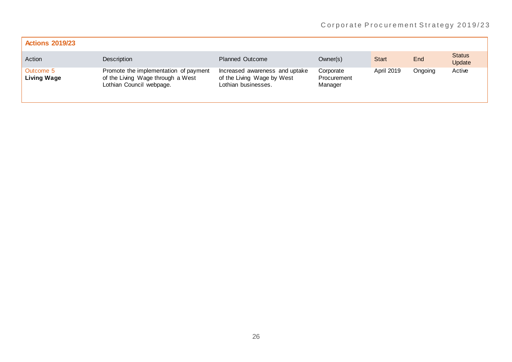| <b>Actions 2019/23</b>          |                                                                                                        |                                                                                     |                                     |                   |         |                         |
|---------------------------------|--------------------------------------------------------------------------------------------------------|-------------------------------------------------------------------------------------|-------------------------------------|-------------------|---------|-------------------------|
| Action                          | Description                                                                                            | <b>Planned Outcome</b>                                                              | Owner(s)                            | Start             | End     | <b>Status</b><br>Update |
| Outcome 5<br><b>Living Wage</b> | Promote the implementation of payment<br>of the Living Wage through a West<br>Lothian Council webpage. | Increased awareness and uptake<br>of the Living Wage by West<br>Lothian businesses. | Corporate<br>Procurement<br>Manager | <b>April 2019</b> | Ongoing | Active                  |